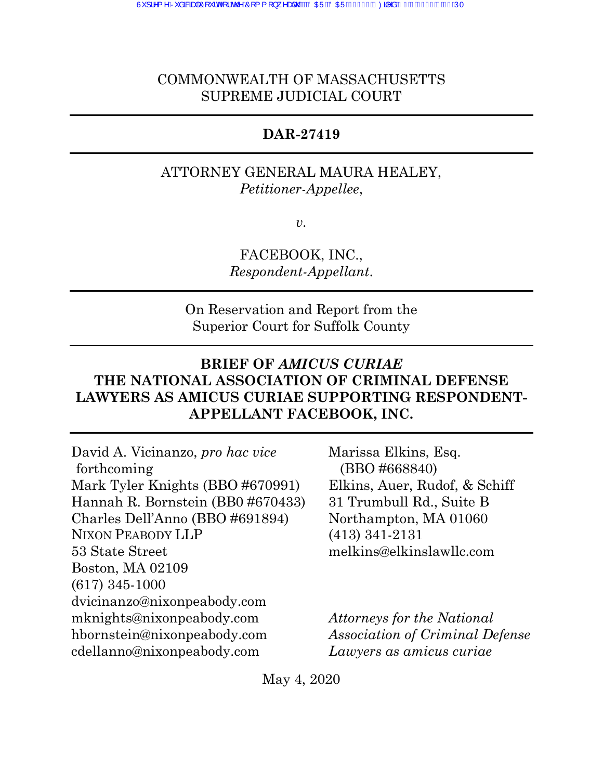# COMMONWEALTH OF MASSACHUSETTS SUPREME JUDICIAL COURT

### **DAR-27419**

# ATTORNEY GENERAL MAURA HEALEY, *Petitioner-Appellee*,

*v.*

FACEBOOK, INC., *Respondent-Appellant*.

On Reservation and Report from the Superior Court for Suffolk County

# **BRIEF OF** *AMICUS CURIAE* **THE NATIONAL ASSOCIATION OF CRIMINAL DEFENSE LAWYERS AS AMICUS CURIAE SUPPORTING RESPONDENT-APPELLANT FACEBOOK, INC.**

David A. Vicinanzo, *pro hac vice* forthcoming Mark Tyler Knights (BBO #670991) Hannah R. Bornstein (BB0 #670433) Charles Dell'Anno (BBO #691894) NIXON PEABODY LLP 53 State Street Boston, MA 02109 (617) 345-1000 dvicinanzo@nixonpeabody.com mknights@nixonpeabody.com hbornstein@nixonpeabody.com cdellanno@nixonpeabody.com

Marissa Elkins, Esq. (BBO #668840) Elkins, Auer, Rudof, & Schiff 31 Trumbull Rd., Suite B Northampton, MA 01060 (413) 341-2131 melkins@elkinslawllc.com

*Attorneys for the National Association of Criminal Defense Lawyers as amicus curiae*

May 4, 2020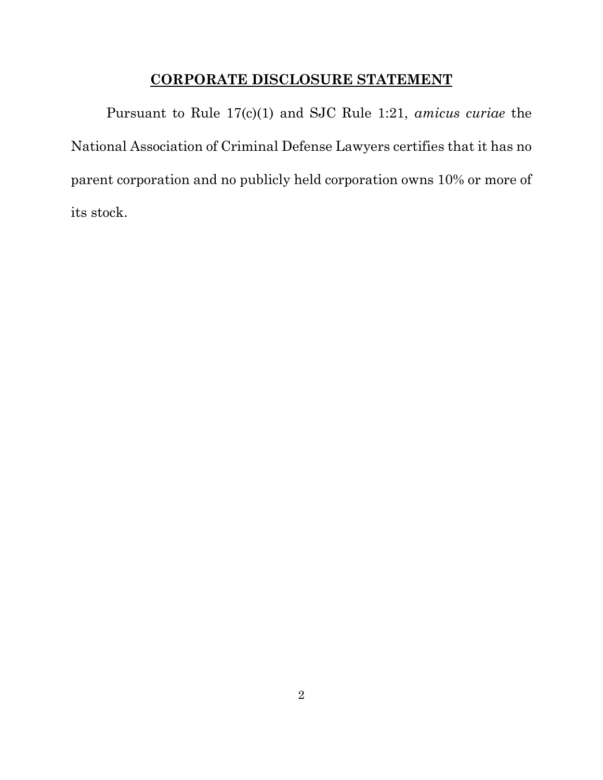# **CORPORATE DISCLOSURE STATEMENT**

Pursuant to Rule 17(c)(1) and SJC Rule 1:21, *amicus curiae* the National Association of Criminal Defense Lawyers certifies that it has no parent corporation and no publicly held corporation owns 10% or more of its stock.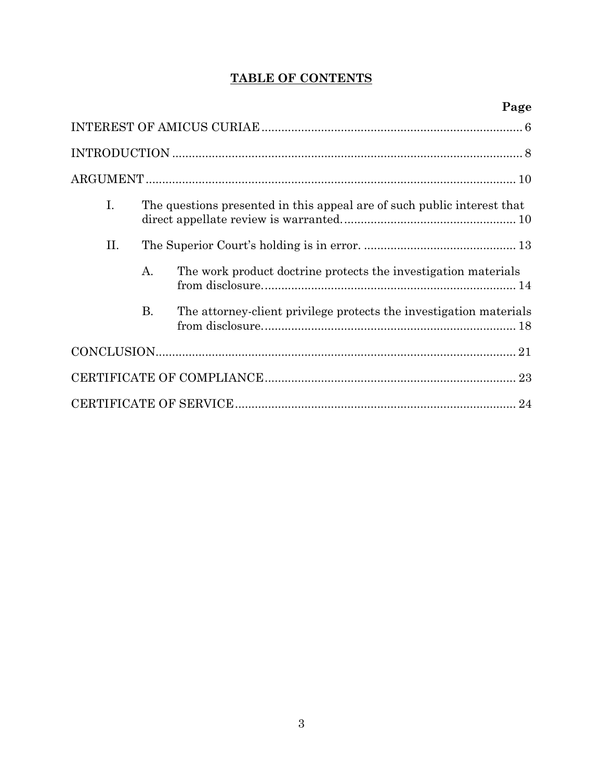# **TABLE OF CONTENTS**

| I. | The questions presented in this appeal are of such public interest that |                                                                    |  |  |
|----|-------------------------------------------------------------------------|--------------------------------------------------------------------|--|--|
| Н. |                                                                         |                                                                    |  |  |
|    | A.                                                                      | The work product doctrine protects the investigation materials     |  |  |
|    | <b>B.</b>                                                               | The attorney-client privilege protects the investigation materials |  |  |
|    |                                                                         |                                                                    |  |  |
|    |                                                                         |                                                                    |  |  |
|    |                                                                         |                                                                    |  |  |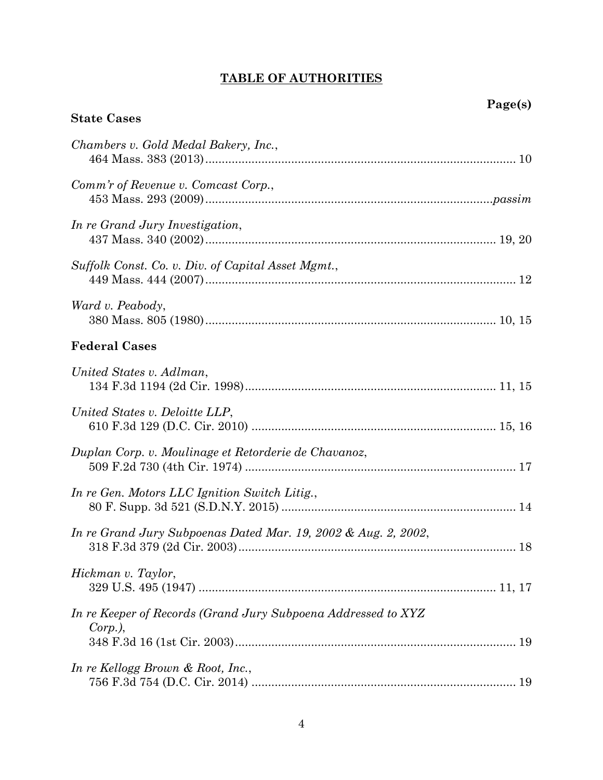# **TABLE OF AUTHORITIES**

**State Cases**

| Chambers v. Gold Medal Bakery, Inc.,                                        |
|-----------------------------------------------------------------------------|
| Comm'r of Revenue v. Comcast Corp.,                                         |
| In re Grand Jury Investigation,                                             |
| Suffolk Const. Co. v. Div. of Capital Asset Mgmt.,                          |
| Ward v. Peabody,                                                            |
| <b>Federal Cases</b>                                                        |
| United States v. Adlman,                                                    |
| United States v. Deloitte LLP,                                              |
| Duplan Corp. v. Moulinage et Retorderie de Chavanoz,                        |
| In re Gen. Motors LLC Ignition Switch Litig.,                               |
| In re Grand Jury Subpoenas Dated Mar. 19, 2002 & Aug. 2, 2002,              |
| Hickman v. Taylor,                                                          |
| In re Keeper of Records (Grand Jury Subpoena Addressed to XYZ<br>$Corp.$ ), |
| In re Kellogg Brown & Root, Inc.,                                           |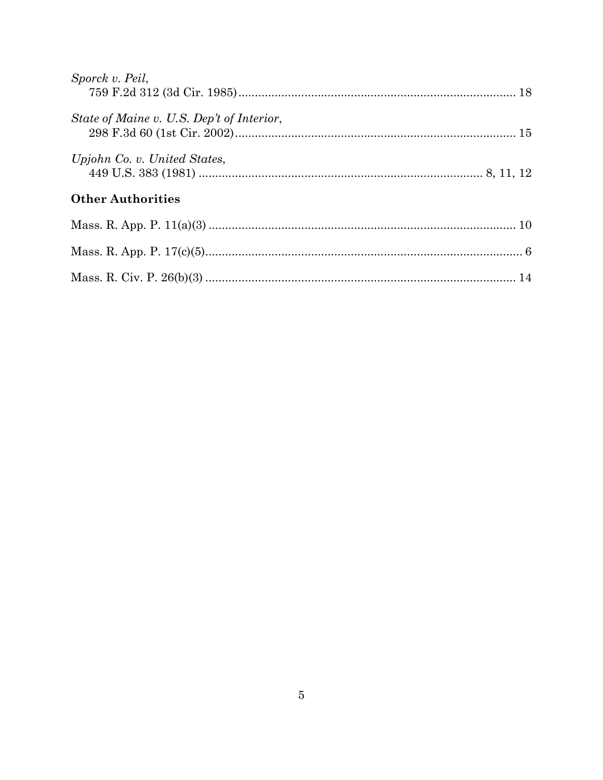| Sporck v. Peil,                           |  |
|-------------------------------------------|--|
| State of Maine v. U.S. Dep't of Interior, |  |
| Upjohn Co. v. United States,              |  |
| <b>Other Authorities</b>                  |  |
|                                           |  |
|                                           |  |
|                                           |  |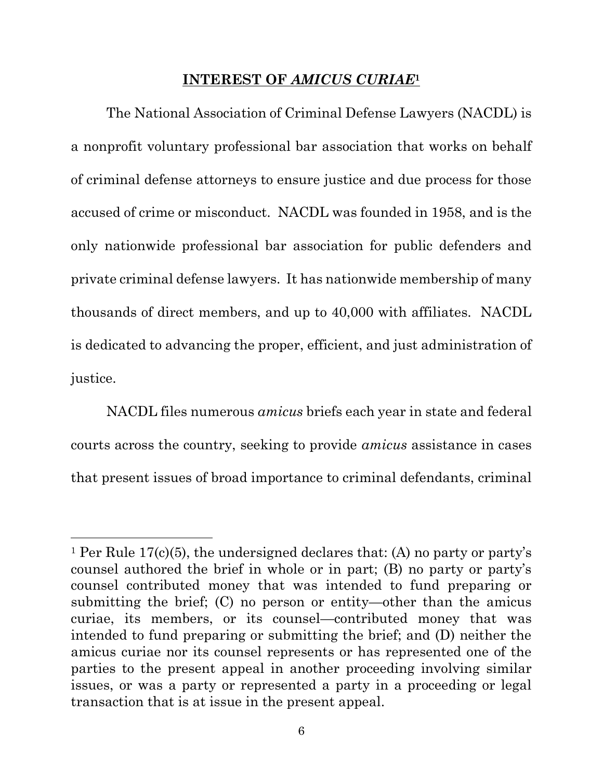### **INTEREST OF** *AMICUS CURIAE***<sup>1</sup>**

The National Association of Criminal Defense Lawyers (NACDL) is a nonprofit voluntary professional bar association that works on behalf of criminal defense attorneys to ensure justice and due process for those accused of crime or misconduct. NACDL was founded in 1958, and is the only nationwide professional bar association for public defenders and private criminal defense lawyers. It has nationwide membership of many thousands of direct members, and up to 40,000 with affiliates. NACDL is dedicated to advancing the proper, efficient, and just administration of justice.

NACDL files numerous *amicus* briefs each year in state and federal courts across the country, seeking to provide *amicus* assistance in cases that present issues of broad importance to criminal defendants, criminal

<sup>&</sup>lt;sup>1</sup> Per Rule 17(c)(5), the undersigned declares that: (A) no party or party's counsel authored the brief in whole or in part; (B) no party or party's counsel contributed money that was intended to fund preparing or submitting the brief; (C) no person or entity—other than the amicus curiae, its members, or its counsel—contributed money that was intended to fund preparing or submitting the brief; and (D) neither the amicus curiae nor its counsel represents or has represented one of the parties to the present appeal in another proceeding involving similar issues, or was a party or represented a party in a proceeding or legal transaction that is at issue in the present appeal.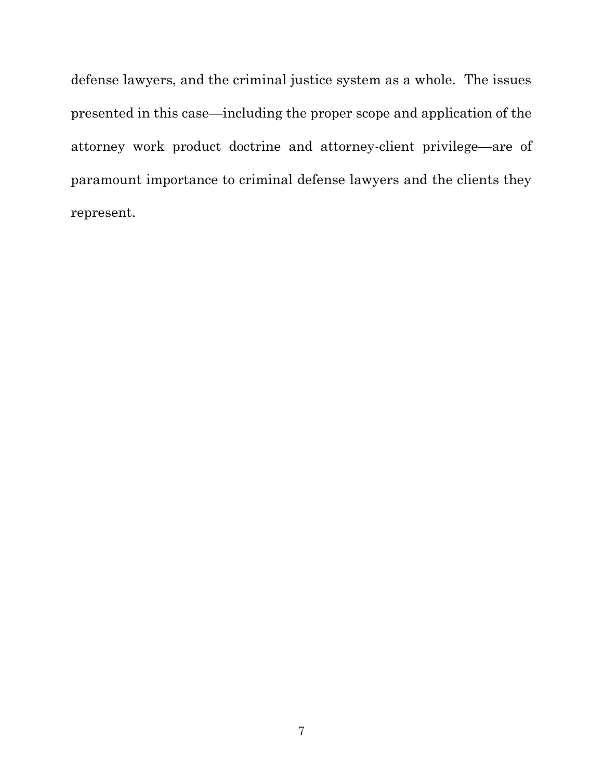defense lawyers, and the criminal justice system as a whole. The issues presented in this case—including the proper scope and application of the attorney work product doctrine and attorney-client privilege—are of paramount importance to criminal defense lawyers and the clients they represent.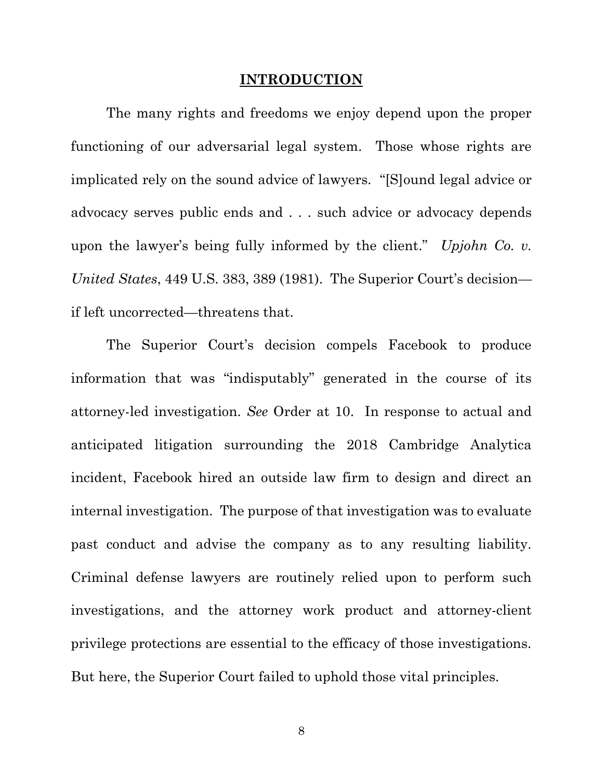#### **INTRODUCTION**

The many rights and freedoms we enjoy depend upon the proper functioning of our adversarial legal system. Those whose rights are implicated rely on the sound advice of lawyers. "[S]ound legal advice or advocacy serves public ends and . . . such advice or advocacy depends upon the lawyer's being fully informed by the client." *Upjohn Co. v. United States*, 449 U.S. 383, 389 (1981). The Superior Court's decision if left uncorrected—threatens that.

The Superior Court's decision compels Facebook to produce information that was "indisputably" generated in the course of its attorney-led investigation. *See* Order at 10. In response to actual and anticipated litigation surrounding the 2018 Cambridge Analytica incident, Facebook hired an outside law firm to design and direct an internal investigation. The purpose of that investigation was to evaluate past conduct and advise the company as to any resulting liability. Criminal defense lawyers are routinely relied upon to perform such investigations, and the attorney work product and attorney-client privilege protections are essential to the efficacy of those investigations. But here, the Superior Court failed to uphold those vital principles.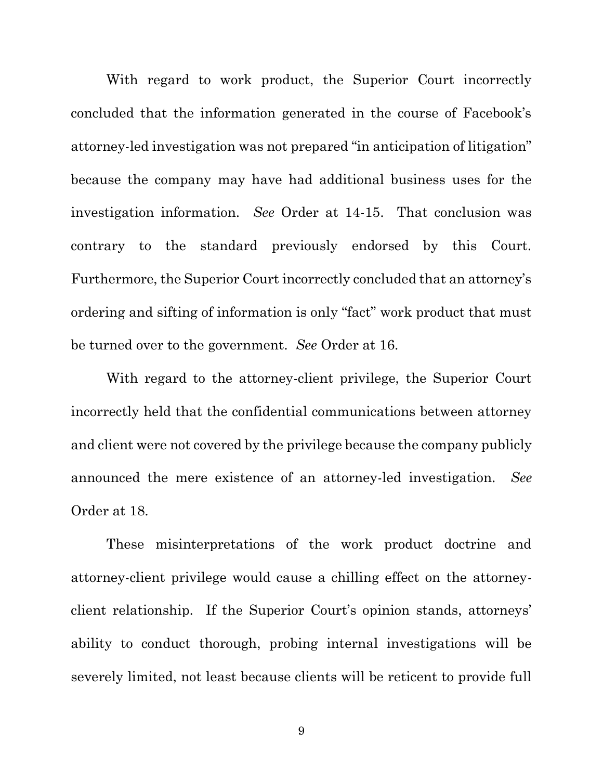With regard to work product, the Superior Court incorrectly concluded that the information generated in the course of Facebook's attorney-led investigation was not prepared "in anticipation of litigation" because the company may have had additional business uses for the investigation information. *See* Order at 14-15. That conclusion was contrary to the standard previously endorsed by this Court. Furthermore, the Superior Court incorrectly concluded that an attorney's ordering and sifting of information is only "fact" work product that must be turned over to the government. *See* Order at 16.

With regard to the attorney-client privilege, the Superior Court incorrectly held that the confidential communications between attorney and client were not covered by the privilege because the company publicly announced the mere existence of an attorney-led investigation. *See* Order at 18.

These misinterpretations of the work product doctrine and attorney-client privilege would cause a chilling effect on the attorneyclient relationship. If the Superior Court's opinion stands, attorneys' ability to conduct thorough, probing internal investigations will be severely limited, not least because clients will be reticent to provide full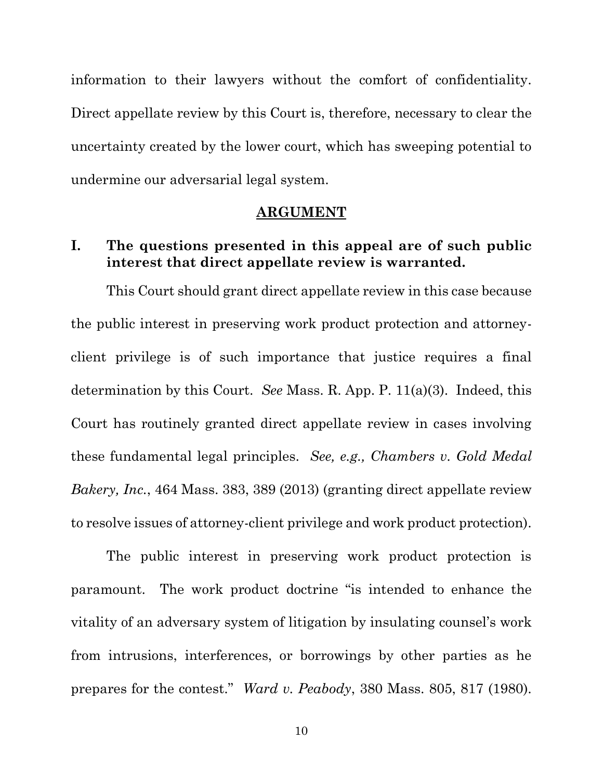information to their lawyers without the comfort of confidentiality. Direct appellate review by this Court is, therefore, necessary to clear the uncertainty created by the lower court, which has sweeping potential to undermine our adversarial legal system.

#### <span id="page-9-1"></span><span id="page-9-0"></span>**ARGUMENT**

### **I. The questions presented in this appeal are of such public interest that direct appellate review is warranted.**

This Court should grant direct appellate review in this case because the public interest in preserving work product protection and attorneyclient privilege is of such importance that justice requires a final determination by this Court. *See* Mass. R. App. P. 11(a)(3). Indeed, this Court has routinely granted direct appellate review in cases involving these fundamental legal principles. *See, e.g., Chambers v. Gold Medal Bakery, Inc.*, 464 Mass. 383, 389 (2013) (granting direct appellate review to resolve issues of attorney-client privilege and work product protection).

The public interest in preserving work product protection is paramount. The work product doctrine "is intended to enhance the vitality of an adversary system of litigation by insulating counsel's work from intrusions, interferences, or borrowings by other parties as he prepares for the contest." *Ward v. Peabody*, 380 Mass. 805, 817 (1980).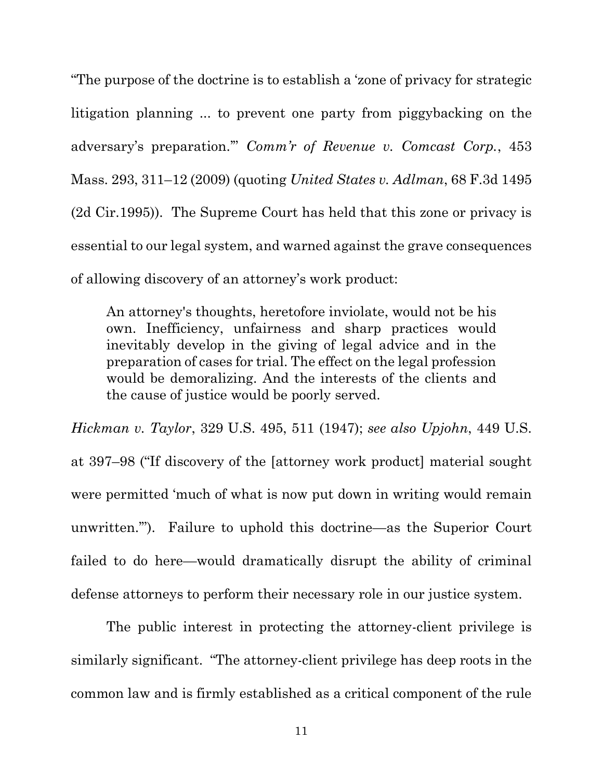<span id="page-10-0"></span>"The purpose of the doctrine is to establish a 'zone of privacy for strategic litigation planning ... to prevent one party from piggybacking on the adversary's preparation.'" *Comm'r of Revenue v. Comcast Corp.*, 453 Mass. 293, 311–12 (2009) (quoting *United States v. Adlman*, 68 F.3d 1495 (2d Cir.1995)). The Supreme Court has held that this zone or privacy is essential to our legal system, and warned against the grave consequences of allowing discovery of an attorney's work product:

<span id="page-10-2"></span>An attorney's thoughts, heretofore inviolate, would not be his own. Inefficiency, unfairness and sharp practices would inevitably develop in the giving of legal advice and in the preparation of cases for trial. The effect on the legal profession would be demoralizing. And the interests of the clients and the cause of justice would be poorly served.

<span id="page-10-1"></span>*Hickman v. Taylor*, 329 U.S. 495, 511 (1947); *see also Upjohn*, 449 U.S. at 397–98 ("If discovery of the [attorney work product] material sought were permitted 'much of what is now put down in writing would remain unwritten.'"). Failure to uphold this doctrine—as the Superior Court failed to do here—would dramatically disrupt the ability of criminal defense attorneys to perform their necessary role in our justice system.

The public interest in protecting the attorney-client privilege is similarly significant. "The attorney-client privilege has deep roots in the common law and is firmly established as a critical component of the rule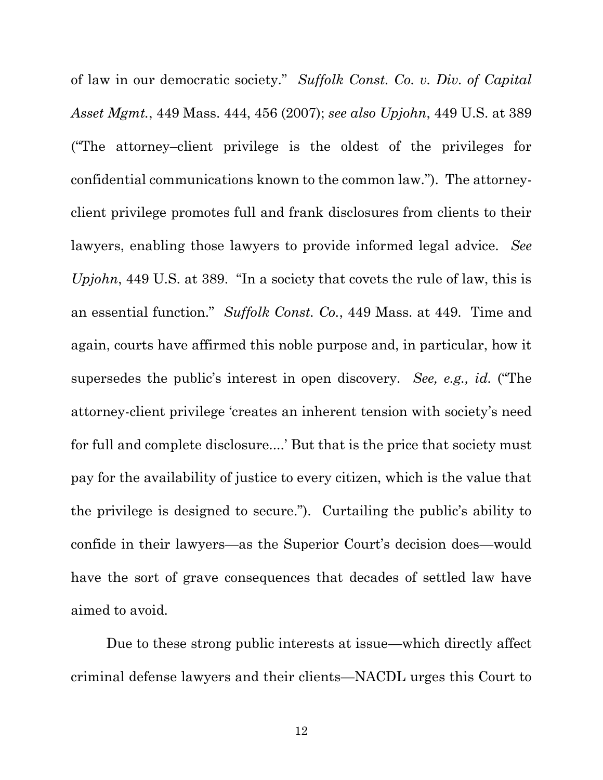<span id="page-11-0"></span>of law in our democratic society." *Suffolk Const. Co. v. Div. of Capital Asset Mgmt.*, 449 Mass. 444, 456 (2007); *see also Upjohn*, 449 U.S. at 389 ("The attorney–client privilege is the oldest of the privileges for confidential communications known to the common law."). The attorneyclient privilege promotes full and frank disclosures from clients to their lawyers, enabling those lawyers to provide informed legal advice. *See Upjohn*, 449 U.S. at 389. "In a society that covets the rule of law, this is an essential function." *Suffolk Const. Co.*, 449 Mass. at 449. Time and again, courts have affirmed this noble purpose and, in particular, how it supersedes the public's interest in open discovery. *See, e.g., id.* ("The attorney-client privilege 'creates an inherent tension with society's need for full and complete disclosure....' But that is the price that society must pay for the availability of justice to every citizen, which is the value that the privilege is designed to secure."). Curtailing the public's ability to confide in their lawyers—as the Superior Court's decision does—would have the sort of grave consequences that decades of settled law have aimed to avoid.

Due to these strong public interests at issue—which directly affect criminal defense lawyers and their clients—NACDL urges this Court to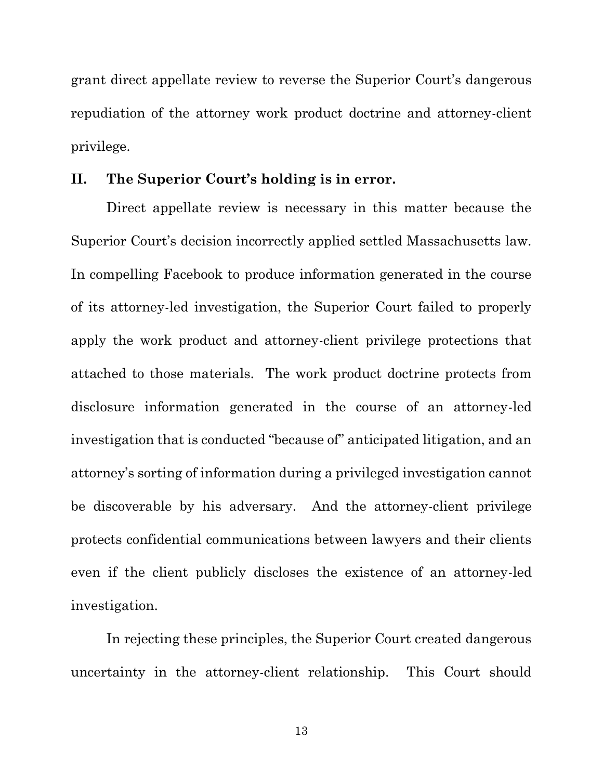grant direct appellate review to reverse the Superior Court's dangerous repudiation of the attorney work product doctrine and attorney-client privilege.

### **II. The Superior Court's holding is in error.**

Direct appellate review is necessary in this matter because the Superior Court's decision incorrectly applied settled Massachusetts law. In compelling Facebook to produce information generated in the course of its attorney-led investigation, the Superior Court failed to properly apply the work product and attorney-client privilege protections that attached to those materials. The work product doctrine protects from disclosure information generated in the course of an attorney-led investigation that is conducted "because of" anticipated litigation, and an attorney's sorting of information during a privileged investigation cannot be discoverable by his adversary. And the attorney-client privilege protects confidential communications between lawyers and their clients even if the client publicly discloses the existence of an attorney-led investigation.

In rejecting these principles, the Superior Court created dangerous uncertainty in the attorney-client relationship. This Court should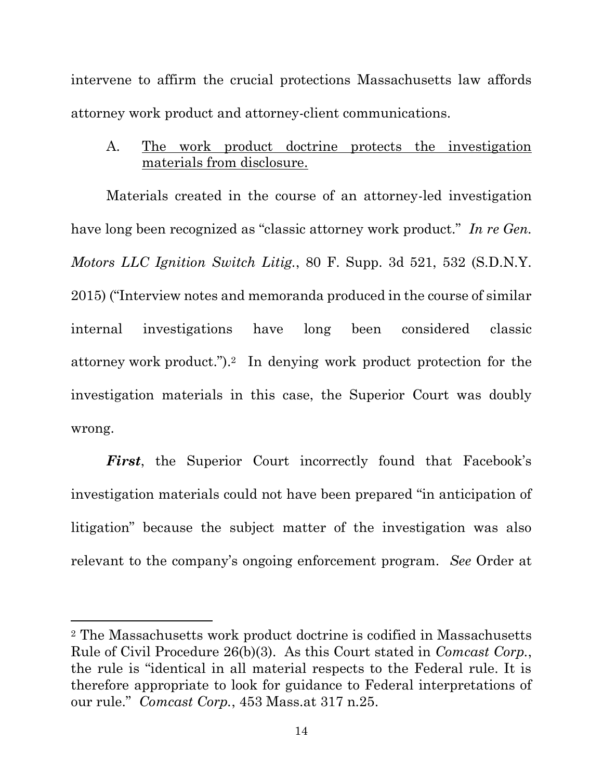intervene to affirm the crucial protections Massachusetts law affords attorney work product and attorney-client communications.

A. The work product doctrine protects the investigation materials from disclosure.

Materials created in the course of an attorney-led investigation have long been recognized as "classic attorney work product." *In re Gen. Motors LLC Ignition Switch Litig.*, 80 F. Supp. 3d 521, 532 (S.D.N.Y. 2015) ("Interview notes and memoranda produced in the course of similar internal investigations have long been considered classic attorney work product.").2 In denying work product protection for the investigation materials in this case, the Superior Court was doubly wrong.

*First*, the Superior Court incorrectly found that Facebook's investigation materials could not have been prepared "in anticipation of litigation" because the subject matter of the investigation was also relevant to the company's ongoing enforcement program. *See* Order at

<sup>2</sup> The Massachusetts work product doctrine is codified in Massachusetts Rule of Civil Procedure 26(b)(3). As this Court stated in *Comcast Corp.*, the rule is "identical in all material respects to the Federal rule. It is therefore appropriate to look for guidance to Federal interpretations of our rule." *Comcast Corp.*, 453 Mass.at 317 n.25.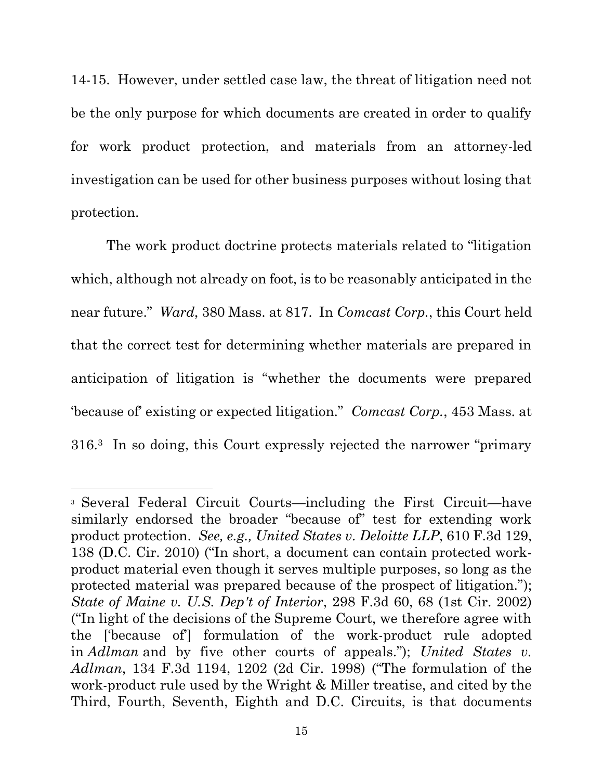14-15. However, under settled case law, the threat of litigation need not be the only purpose for which documents are created in order to qualify for work product protection, and materials from an attorney-led investigation can be used for other business purposes without losing that protection.

The work product doctrine protects materials related to "litigation which, although not already on foot, is to be reasonably anticipated in the near future." *Ward*, 380 Mass. at 817. In *Comcast Corp.*, this Court held that the correct test for determining whether materials are prepared in anticipation of litigation is "whether the documents were prepared 'because of' existing or expected litigation." *Comcast Corp.*, 453 Mass. at 316. <sup>3</sup> In so doing, this Court expressly rejected the narrower "primary

<span id="page-14-1"></span><span id="page-14-0"></span><sup>3</sup> Several Federal Circuit Courts—including the First Circuit—have similarly endorsed the broader "because of" test for extending work product protection. *See, e.g., United States v. Deloitte LLP*, 610 F.3d 129, 138 (D.C. Cir. 2010) ("In short, a document can contain protected workproduct material even though it serves multiple purposes, so long as the protected material was prepared because of the prospect of litigation."); *State of Maine v. U.S. Dep't of Interior*, 298 F.3d 60, 68 (1st Cir. 2002) ("In light of the decisions of the Supreme Court, we therefore agree with the ['because of'] formulation of the work-product rule adopted in *Adlman* and by five other courts of appeals."); *United States v. Adlman*, 134 F.3d 1194, 1202 (2d Cir. 1998) ("The formulation of the work-product rule used by the Wright & Miller treatise, and cited by the Third, Fourth, Seventh, Eighth and D.C. Circuits, is that documents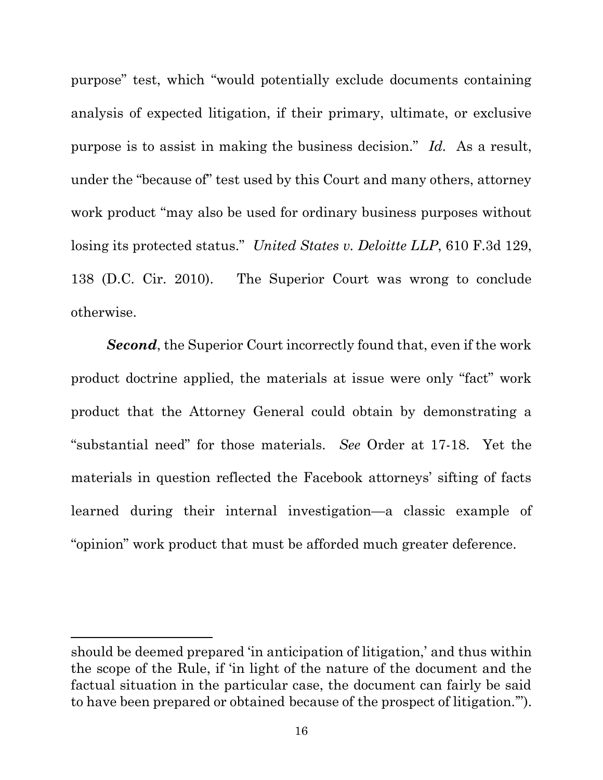purpose" test, which "would potentially exclude documents containing analysis of expected litigation, if their primary, ultimate, or exclusive purpose is to assist in making the business decision." *Id.* As a result, under the "because of" test used by this Court and many others, attorney work product "may also be used for ordinary business purposes without losing its protected status." *United States v. Deloitte LLP*, 610 F.3d 129, 138 (D.C. Cir. 2010). The Superior Court was wrong to conclude otherwise.

*Second*, the Superior Court incorrectly found that, even if the work product doctrine applied, the materials at issue were only "fact" work product that the Attorney General could obtain by demonstrating a "substantial need" for those materials. *See* Order at 17-18. Yet the materials in question reflected the Facebook attorneys' sifting of facts learned during their internal investigation—a classic example of "opinion" work product that must be afforded much greater deference.

should be deemed prepared 'in anticipation of litigation,' and thus within the scope of the Rule, if 'in light of the nature of the document and the factual situation in the particular case, the document can fairly be said to have been prepared or obtained because of the prospect of litigation.'").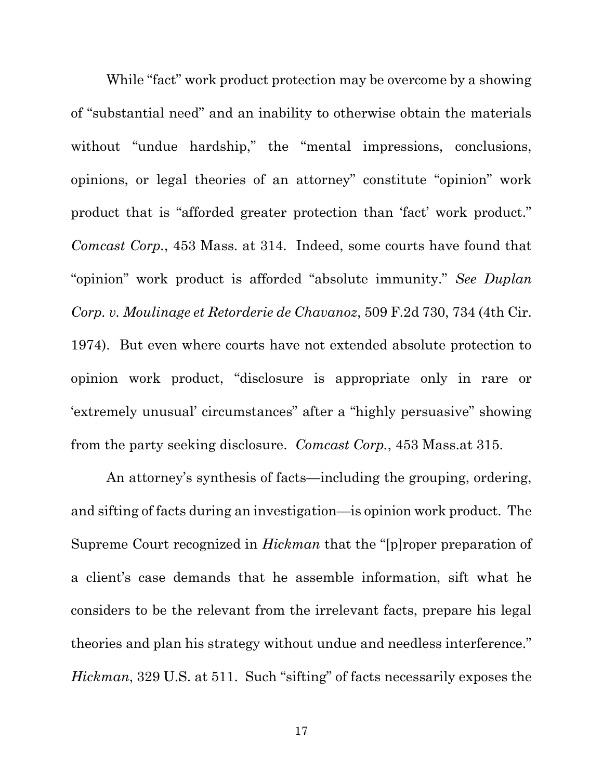While "fact" work product protection may be overcome by a showing of "substantial need" and an inability to otherwise obtain the materials without "undue hardship," the "mental impressions, conclusions, opinions, or legal theories of an attorney" constitute "opinion" work product that is "afforded greater protection than 'fact' work product." *Comcast Corp.*, 453 Mass. at 314. Indeed, some courts have found that "opinion" work product is afforded "absolute immunity." *See Duplan Corp. v. Moulinage et Retorderie de Chavanoz*, 509 F.2d 730, 734 (4th Cir. 1974). But even where courts have not extended absolute protection to opinion work product, "disclosure is appropriate only in rare or 'extremely unusual' circumstances" after a "highly persuasive" showing from the party seeking disclosure. *Comcast Corp.*, 453 Mass.at 315.

An attorney's synthesis of facts—including the grouping, ordering, and sifting of facts during an investigation—is opinion work product. The Supreme Court recognized in *Hickman* that the "[p]roper preparation of a client's case demands that he assemble information, sift what he considers to be the relevant from the irrelevant facts, prepare his legal theories and plan his strategy without undue and needless interference." *Hickman*, 329 U.S. at 511. Such "sifting" of facts necessarily exposes the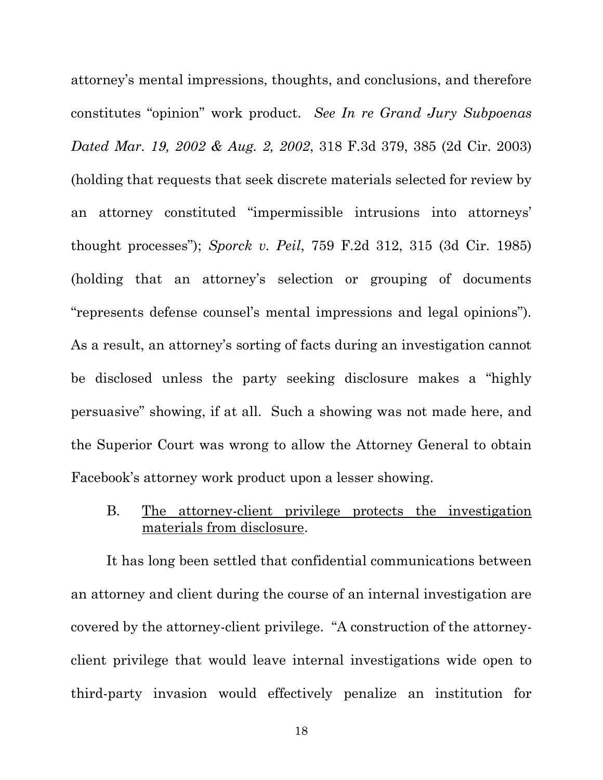<span id="page-17-1"></span><span id="page-17-0"></span>attorney's mental impressions, thoughts, and conclusions, and therefore constitutes "opinion" work product. *See In re Grand Jury Subpoenas Dated Mar. 19, 2002 & Aug. 2, 2002*, 318 F.3d 379, 385 (2d Cir. 2003) (holding that requests that seek discrete materials selected for review by an attorney constituted "impermissible intrusions into attorneys' thought processes"); *Sporck v. Peil*, 759 F.2d 312, 315 (3d Cir. 1985) (holding that an attorney's selection or grouping of documents "represents defense counsel's mental impressions and legal opinions"). As a result, an attorney's sorting of facts during an investigation cannot be disclosed unless the party seeking disclosure makes a "highly persuasive" showing, if at all. Such a showing was not made here, and the Superior Court was wrong to allow the Attorney General to obtain Facebook's attorney work product upon a lesser showing.

### B. The attorney-client privilege protects the investigation materials from disclosure.

It has long been settled that confidential communications between an attorney and client during the course of an internal investigation are covered by the attorney-client privilege. "A construction of the attorneyclient privilege that would leave internal investigations wide open to third-party invasion would effectively penalize an institution for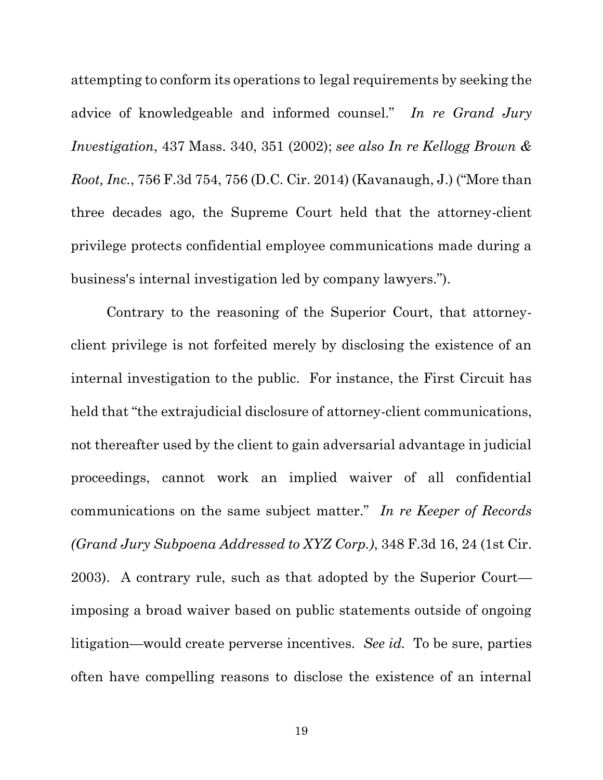attempting to conform its operations to legal requirements by seeking the advice of knowledgeable and informed counsel." *In re Grand Jury Investigation*, 437 Mass. 340, 351 (2002); *see also In re Kellogg Brown & Root, Inc.*, 756 F.3d 754, 756 (D.C. Cir. 2014) (Kavanaugh, J.) ("More than three decades ago, the Supreme Court held that the attorney-client privilege protects confidential employee communications made during a business's internal investigation led by company lawyers.").

Contrary to the reasoning of the Superior Court, that attorneyclient privilege is not forfeited merely by disclosing the existence of an internal investigation to the public. For instance, the First Circuit has held that "the extrajudicial disclosure of attorney-client communications, not thereafter used by the client to gain adversarial advantage in judicial proceedings, cannot work an implied waiver of all confidential communications on the same subject matter." *In re Keeper of Records (Grand Jury Subpoena Addressed to XYZ Corp.)*, 348 F.3d 16, 24 (1st Cir. 2003). A contrary rule, such as that adopted by the Superior Court imposing a broad waiver based on public statements outside of ongoing litigation—would create perverse incentives. *See id.* To be sure, parties often have compelling reasons to disclose the existence of an internal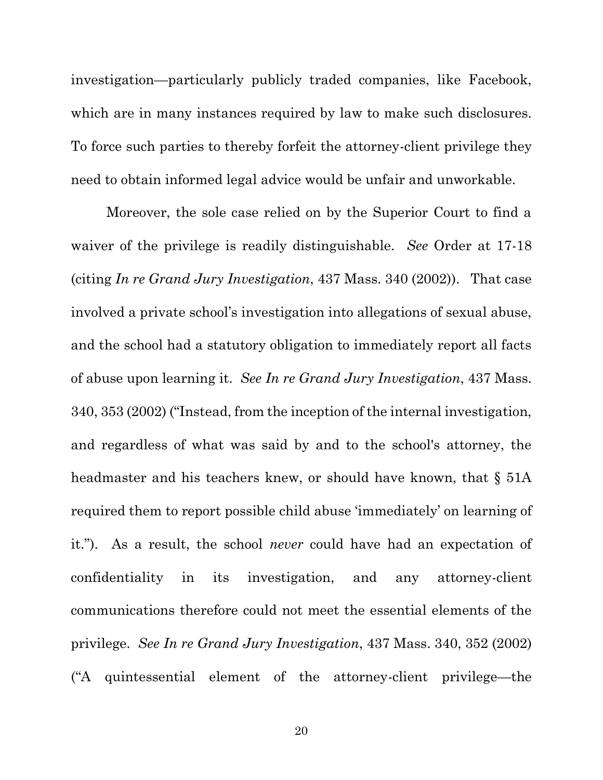investigation—particularly publicly traded companies, like Facebook, which are in many instances required by law to make such disclosures. To force such parties to thereby forfeit the attorney-client privilege they need to obtain informed legal advice would be unfair and unworkable.

Moreover, the sole case relied on by the Superior Court to find a waiver of the privilege is readily distinguishable. *See* Order at 17-18 (citing *In re Grand Jury Investigation*, 437 Mass. 340 (2002)). That case involved a private school's investigation into allegations of sexual abuse, and the school had a statutory obligation to immediately report all facts of abuse upon learning it. *See In re Grand Jury Investigation*, 437 Mass. 340, 353 (2002) ("Instead, from the inception of the internal investigation, and regardless of what was said by and to the school's attorney, the headmaster and his teachers knew, or should have known, that  $\S$  51A required them to report possible child abuse 'immediately' on learning of it."). As a result, the school *never* could have had an expectation of confidentiality in its investigation, and any attorney-client communications therefore could not meet the essential elements of the privilege. *See In re Grand Jury Investigation*, 437 Mass. 340, 352 (2002) ("A quintessential element of the attorney-client privilege—the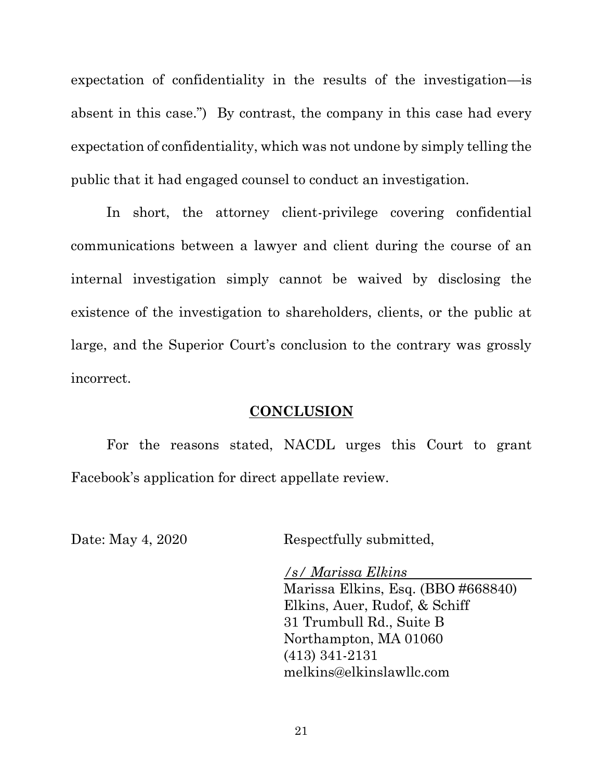expectation of confidentiality in the results of the investigation—is absent in this case.") By contrast, the company in this case had every expectation of confidentiality, which was not undone by simply telling the public that it had engaged counsel to conduct an investigation.

In short, the attorney client-privilege covering confidential communications between a lawyer and client during the course of an internal investigation simply cannot be waived by disclosing the existence of the investigation to shareholders, clients, or the public at large, and the Superior Court's conclusion to the contrary was grossly incorrect.

#### **CONCLUSION**

For the reasons stated, NACDL urges this Court to grant Facebook's application for direct appellate review.

Date: May 4, 2020 Respectfully submitted,

*/s/ Marissa Elkins* Marissa Elkins, Esq. (BBO #668840) Elkins, Auer, Rudof, & Schiff 31 Trumbull Rd., Suite B Northampton, MA 01060 (413) 341-2131 melkins@elkinslawllc.com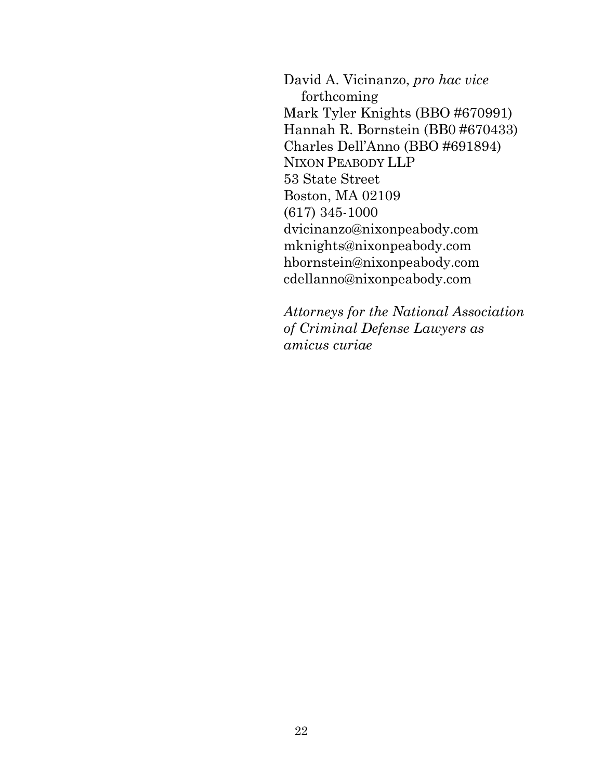David A. Vicinanzo, *pro hac vice*  forthcoming Mark Tyler Knights (BBO #670991) Hannah R. Bornstein (BB0 #670433) Charles Dell'Anno (BBO #691894) NIXON PEABODY LLP 53 State Street Boston, MA 02109 (617) 345-1000 dvicinanzo@nixonpeabody.com mknights@nixonpeabody.com hbornstein@nixonpeabody.com cdellanno@nixonpeabody.com

*Attorneys for the National Association of Criminal Defense Lawyers as amicus curiae*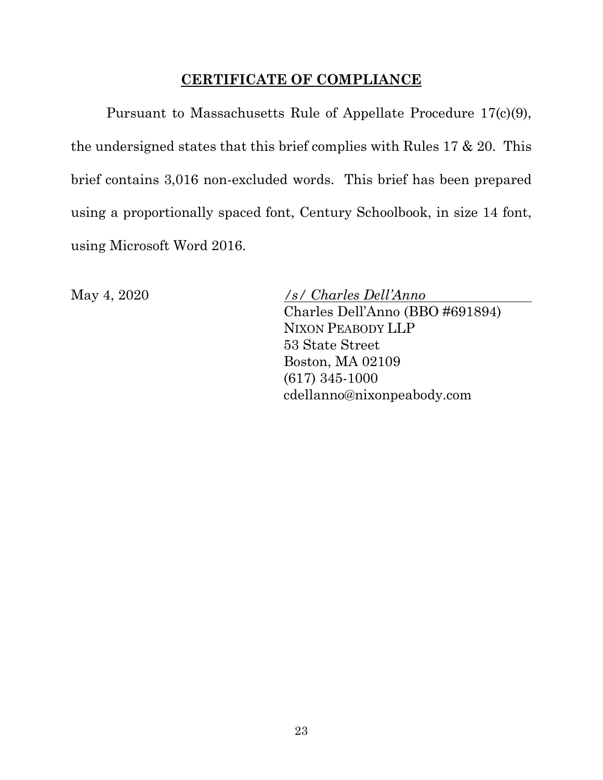### **CERTIFICATE OF COMPLIANCE**

Pursuant to Massachusetts Rule of Appellate Procedure 17(c)(9), the undersigned states that this brief complies with Rules 17 & 20. This brief contains 3,016 non-excluded words. This brief has been prepared using a proportionally spaced font, Century Schoolbook, in size 14 font, using Microsoft Word 2016.

May 4, 2020 */s/ Charles Dell'Anno* Charles Dell'Anno (BBO #691894) NIXON PEABODY LLP 53 State Street Boston, MA 02109 (617) 345-1000 cdellanno@nixonpeabody.com